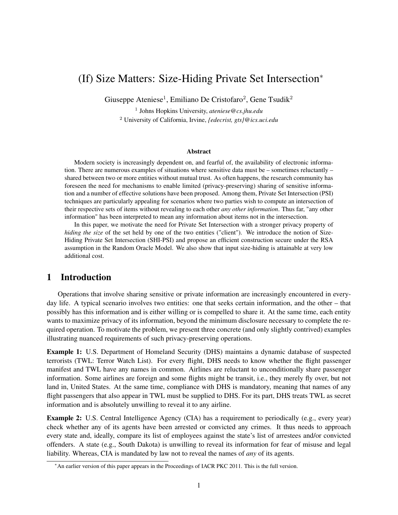# (If) Size Matters: Size-Hiding Private Set Intersection<sup>∗</sup>

Giuseppe Ateniese<sup>1</sup>, Emiliano De Cristofaro<sup>2</sup>, Gene Tsudik<sup>2</sup>

1 Johns Hopkins University, *ateniese@cs.jhu.edu* <sup>2</sup> University of California, Irvine, *{edecrist, gts}@ics.uci.edu*

#### Abstract

Modern society is increasingly dependent on, and fearful of, the availability of electronic information. There are numerous examples of situations where sensitive data must be – sometimes reluctantly – shared between two or more entities without mutual trust. As often happens, the research community has foreseen the need for mechanisms to enable limited (privacy-preserving) sharing of sensitive information and a number of effective solutions have been proposed. Among them, Private Set Intersection (PSI) techniques are particularly appealing for scenarios where two parties wish to compute an intersection of their respective sets of items without revealing to each other *any other information*. Thus far, "any other information" has been interpreted to mean any information about items not in the intersection.

In this paper, we motivate the need for Private Set Intersection with a stronger privacy property of *hiding the size* of the set held by one of the two entities ("client"). We introduce the notion of Size-Hiding Private Set Intersection (SHI-PSI) and propose an efficient construction secure under the RSA assumption in the Random Oracle Model. We also show that input size-hiding is attainable at very low additional cost.

### <span id="page-0-0"></span>1 Introduction

Operations that involve sharing sensitive or private information are increasingly encountered in everyday life. A typical scenario involves two entities: one that seeks certain information, and the other – that possibly has this information and is either willing or is compelled to share it. At the same time, each entity wants to maximize privacy of its information, beyond the minimum disclosure necessary to complete the required operation. To motivate the problem, we present three concrete (and only slightly contrived) examples illustrating nuanced requirements of such privacy-preserving operations.

Example 1: U.S. Department of Homeland Security (DHS) maintains a dynamic database of suspected terrorists (TWL: Terror Watch List). For every flight, DHS needs to know whether the flight passenger manifest and TWL have any names in common. Airlines are reluctant to unconditionally share passenger information. Some airlines are foreign and some flights might be transit, i.e., they merely fly over, but not land in, United States. At the same time, compliance with DHS is mandatory, meaning that names of any flight passengers that also appear in TWL must be supplied to DHS. For its part, DHS treats TWL as secret information and is absolutely unwilling to reveal it to any airline.

Example 2: U.S. Central Intelligence Agency (CIA) has a requirement to periodically (e.g., every year) check whether any of its agents have been arrested or convicted any crimes. It thus needs to approach every state and, ideally, compare its list of employees against the state's list of arrestees and/or convicted offenders. A state (e.g., South Dakota) is unwilling to reveal its information for fear of misuse and legal liability. Whereas, CIA is mandated by law not to reveal the names of *any* of its agents.

<sup>∗</sup>An earlier version of this paper appears in the Proceedings of IACR PKC 2011. This is the full version.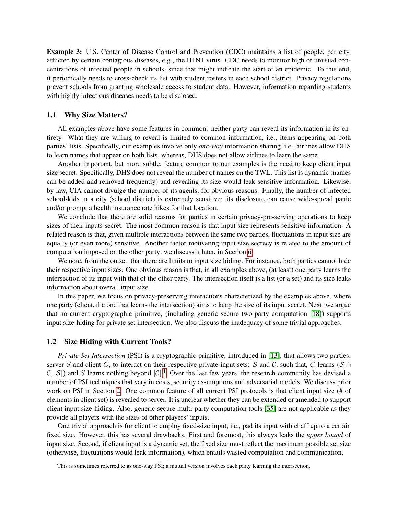Example 3: U.S. Center of Disease Control and Prevention (CDC) maintains a list of people, per city, afflicted by certain contagious diseases, e.g., the H1N1 virus. CDC needs to monitor high or unusual concentrations of infected people in schools, since that might indicate the start of an epidemic. To this end, it periodically needs to cross-check its list with student rosters in each school district. Privacy regulations prevent schools from granting wholesale access to student data. However, information regarding students with highly infectious diseases needs to be disclosed.

#### 1.1 Why Size Matters?

All examples above have some features in common: neither party can reveal its information in its entirety. What they are willing to reveal is limited to common information, i.e., items appearing on both parties' lists. Specifically, our examples involve only *one-way* information sharing, i.e., airlines allow DHS to learn names that appear on both lists, whereas, DHS does not allow airlines to learn the same.

Another important, but more subtle, feature common to our examples is the need to keep client input size secret. Specifically, DHS does not reveal the number of names on the TWL. This list is dynamic (names can be added and removed frequently) and revealing its size would leak sensitive information. Likewise, by law, CIA cannot divulge the number of its agents, for obvious reasons. Finally, the number of infected school-kids in a city (school district) is extremely sensitive: its disclosure can cause wide-spread panic and/or prompt a health insurance rate hikes for that location.

We conclude that there are solid reasons for parties in certain privacy-pre-serving operations to keep sizes of their inputs secret. The most common reason is that input size represents sensitive information. A related reason is that, given multiple interactions between the same two parties, fluctuations in input size are equally (or even more) sensitive. Another factor motivating input size secrecy is related to the amount of computation imposed on the other party; we discuss it later, in Section [6.](#page-10-0)

We note, from the outset, that there are limits to input size hiding. For instance, both parties cannot hide their respective input sizes. One obvious reason is that, in all examples above, (at least) one party learns the intersection of its input with that of the other party. The intersection itself is a list (or a set) and its size leaks information about overall input size.

In this paper, we focus on privacy-preserving interactions characterized by the examples above, where one party (client, the one that learns the intersection) aims to keep the size of its input secret. Next, we argue that no current cryptographic primitive, (including generic secure two-party computation [\[18\]](#page-13-0)) supports input size-hiding for private set intersection. We also discuss the inadequacy of some trivial approaches.

#### 1.2 Size Hiding with Current Tools?

*Private Set Intersection* (PSI) is a cryptographic primitive, introduced in [\[13\]](#page-12-0), that allows two parties: server S and client C, to interact on their respective private input sets: S and C, such that, C learns (S ∩  $\mathcal{C}, |\mathcal{S}|$ ) and S learns nothing beyond  $|\mathcal{C}|$ .<sup>[1](#page-1-0)</sup> Over the last few years, the research community has devised a number of PSI techniques that vary in costs, security assumptions and adversarial models. We discuss prior work on PSI in Section [2.](#page-2-0) One common feature of all current PSI protocols is that client input size (# of elements in client set) is revealed to server. It is unclear whether they can be extended or amended to support client input size-hiding. Also, generic secure multi-party computation tools [\[35\]](#page-13-1) are not applicable as they provide all players with the sizes of other players' inputs.

One trivial approach is for client to employ fixed-size input, i.e., pad its input with chaff up to a certain fixed size. However, this has several drawbacks. First and foremost, this always leaks the *upper bound* of input size. Second, if client input is a dynamic set, the fixed size must reflect the maximum possible set size (otherwise, fluctuations would leak information), which entails wasted computation and communication.

<span id="page-1-0"></span><sup>&</sup>lt;sup>1</sup>This is sometimes referred to as one-way PSI; a mutual version involves each party learning the intersection.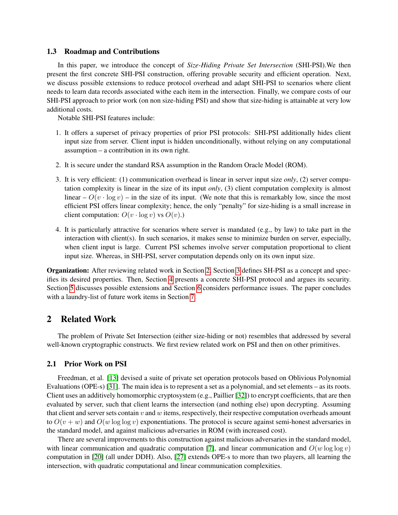#### 1.3 Roadmap and Contributions

In this paper, we introduce the concept of *Size-Hiding Private Set Intersection* (SHI-PSI).We then present the first concrete SHI-PSI construction, offering provable security and efficient operation. Next, we discuss possible extensions to reduce protocol overhead and adapt SHI-PSI to scenarios where client needs to learn data records associated withe each item in the intersection. Finally, we compare costs of our SHI-PSI approach to prior work (on non size-hiding PSI) and show that size-hiding is attainable at very low additional costs.

Notable SHI-PSI features include:

- 1. It offers a superset of privacy properties of prior PSI protocols: SHI-PSI additionally hides client input size from server. Client input is hidden unconditionally, without relying on any computational assumption – a contribution in its own right.
- 2. It is secure under the standard RSA assumption in the Random Oracle Model (ROM).
- 3. It is very efficient: (1) communication overhead is linear in server input size *only*, (2) server computation complexity is linear in the size of its input *only*, (3) client computation complexity is almost linear –  $O(v \cdot \log v)$  – in the size of its input. (We note that this is remarkably low, since the most efficient PSI offers linear complexity; hence, the only "penalty" for size-hiding is a small increase in client computation:  $O(v \cdot \log v)$  vs  $O(v)$ .)
- 4. It is particularly attractive for scenarios where server is mandated (e.g., by law) to take part in the interaction with client(s). In such scenarios, it makes sense to minimize burden on server, especially, when client input is large. Current PSI schemes involve server computation proportional to client input size. Whereas, in SHI-PSI, server computation depends only on its own input size.

Organization: After reviewing related work in Section [2,](#page-2-0) Section [3](#page-4-0) defines SH-PSI as a concept and specifies its desired properties. Then, Section [4](#page-5-0) presents a concrete SHI-PSI protocol and argues its security. Section [5](#page-9-0) discusses possible extensions and Section [6](#page-10-0) considers performance issues. The paper concludes with a laundry-list of future work items in Section [7.](#page-11-0)

### <span id="page-2-0"></span>2 Related Work

The problem of Private Set Intersection (either size-hiding or not) resembles that addressed by several well-known cryptographic constructs. We first review related work on PSI and then on other primitives.

### 2.1 Prior Work on PSI

Freedman, et al. [\[13\]](#page-12-0) devised a suite of private set operation protocols based on Oblivious Polynomial Evaluations (OPE-s) [\[31\]](#page-13-2). The main idea is to represent a set as a polynomial, and set elements – as its roots. Client uses an additively homomorphic cryptosystem (e.g., Paillier [\[32\]](#page-13-3)) to encrypt coefficients, that are then evaluated by server, such that client learns the intersection (and nothing else) upon decrypting. Assuming that client and server sets contain  $v$  and  $w$  items, respectively, their respective computation overheads amount to  $O(v + w)$  and  $O(w \log \log v)$  exponentiations. The protocol is secure against semi-honest adversaries in the standard model, and against malicious adversaries in ROM (with increased cost).

There are several improvements to this construction against malicious adversaries in the standard model, with linear communication and quadratic computation [\[7\]](#page-12-1), and linear communication and  $O(w \log \log v)$ computation in [\[20\]](#page-13-4) (all under DDH). Also, [\[27\]](#page-13-5) extends OPE-s to more than two players, all learning the intersection, with quadratic computational and linear communication complexities.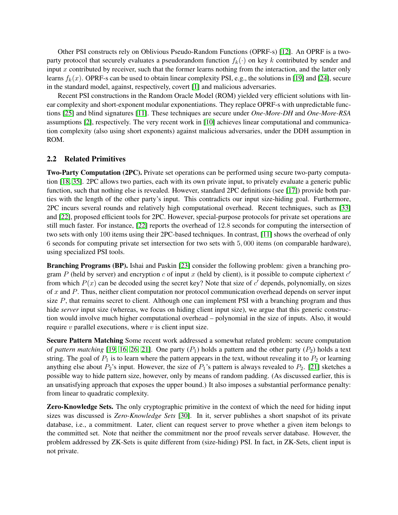Other PSI constructs rely on Oblivious Pseudo-Random Functions (OPRF-s) [\[12\]](#page-12-2). An OPRF is a twoparty protocol that securely evaluates a pseudorandom function  $f_k(\cdot)$  on key k contributed by sender and input x contributed by receiver, such that the former learns nothing from the interaction, and the latter only learns  $f_k(x)$ . OPRF-s can be used to obtain linear complexity PSI, e.g., the solutions in [\[19\]](#page-13-6) and [\[24\]](#page-13-7), secure in the standard model, against, respectively, covert [\[1\]](#page-12-3) and malicious adversaries.

Recent PSI constructions in the Random Oracle Model (ROM) yielded very efficient solutions with linear complexity and short-exponent modular exponentiations. They replace OPRF-s with unpredictable functions [\[25\]](#page-13-8) and blind signatures [\[11\]](#page-12-4). These techniques are secure under *One-More-DH* and *One-More-RSA* assumptions [\[2\]](#page-12-5), respectively. The very recent work in [\[10\]](#page-12-6) achieves linear computational and communication complexity (also using short exponents) against malicious adversaries, under the DDH assumption in ROM.

### 2.2 Related Primitives

Two-Party Computation (2PC). Private set operations can be performed using secure two-party computation [\[18,](#page-13-0) [35\]](#page-13-1). 2PC allows two parties, each with its own private input, to privately evaluate a generic public function, such that nothing else is revealed. However, standard 2PC definitions (see [\[17\]](#page-13-9)) provide both parties with the length of the other party's input. This contradicts our input size-hiding goal. Furthermore, 2PC incurs several rounds and relatively high computational overhead. Recent techniques, such as [\[33\]](#page-13-10) and [\[22\]](#page-13-11), proposed efficient tools for 2PC. However, special-purpose protocols for private set operations are still much faster. For instance, [\[22\]](#page-13-11) reports the overhead of 12.8 seconds for computing the intersection of two sets with only 100 items using their 2PC-based techniques. In contrast, [\[11\]](#page-12-4) shows the overhead of only 6 seconds for computing private set intersection for two sets with 5, 000 items (on comparable hardware), using specialized PSI tools.

Branching Programs (BP). Ishai and Paskin [\[23\]](#page-13-12) consider the following problem: given a branching program P (held by server) and encryption c of input x (held by client), is it possible to compute ciphertext  $c'$ from which  $P(x)$  can be decoded using the secret key? Note that size of  $c'$  depends, polynomially, on sizes of x and P. Thus, neither client computation nor protocol communication overhead depends on server input size  $P$ , that remains secret to client. Although one can implement PSI with a branching program and thus hide *server* input size (whereas, we focus on hiding client input size), we argue that this generic construction would involve much higher computational overhead – polynomial in the size of inputs. Also, it would require  $v$  parallel executions, where  $v$  is client input size.

Secure Pattern Matching Some recent work addressed a somewhat related problem: secure computation of *pattern matching* [\[19,](#page-13-6) [16,](#page-13-13) [26,](#page-13-14) [21\]](#page-13-15). One party  $(P_1)$  holds a pattern and the other party  $(P_2)$  holds a text string. The goal of  $P_1$  is to learn where the pattern appears in the text, without revealing it to  $P_2$  or learning anything else about  $P_2$ 's input. However, the size of  $P_1$ 's pattern is always revealed to  $P_2$ . [\[21\]](#page-13-15) sketches a possible way to hide pattern size, however, only by means of random padding. (As discussed earlier, this is an unsatisfying approach that exposes the upper bound.) It also imposes a substantial performance penalty: from linear to quadratic complexity.

Zero-Knowledge Sets. The only cryptographic primitive in the context of which the need for hiding input sizes was discussed is *Zero-Knowledge Sets* [\[30\]](#page-13-16). In it, server publishes a short snapshot of its private database, i.e., a commitment. Later, client can request server to prove whether a given item belongs to the committed set. Note that neither the commitment nor the proof reveals server database. However, the problem addressed by ZK-Sets is quite different from (size-hiding) PSI. In fact, in ZK-Sets, client input is not private.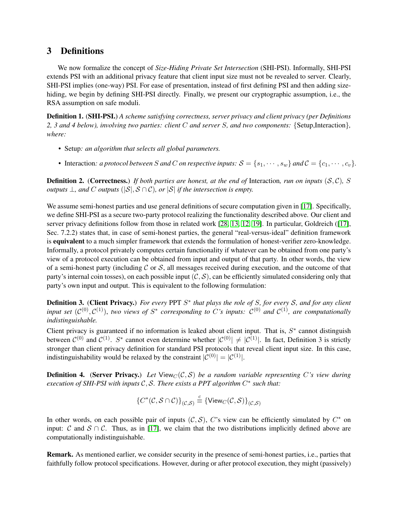## <span id="page-4-0"></span>3 Definitions

We now formalize the concept of *Size-Hiding Private Set Intersection* (SHI-PSI). Informally, SHI-PSI extends PSI with an additional privacy feature that client input size must not be revealed to server. Clearly, SHI-PSI implies (one-way) PSI. For ease of presentation, instead of first defining PSI and then adding sizehiding, we begin by defining SHI-PSI directly. Finally, we present our cryptographic assumption, i.e., the RSA assumption on safe moduli.

Definition 1. (SHI-PSI.) *A scheme satisfying correctness, server privacy and client privacy (per Definitions 2, 3 and 4 below), involving two parties: client* C *and server* S*, and two components:* {Setup,Interaction}*, where:*

- *•* Setup*: an algorithm that selects all global parameters.*
- Interaction: *a protocol between S and C on respective inputs:*  $S = \{s_1, \dots, s_w\}$  *and*  $C = \{c_1, \dots, c_v\}$ *.*

**Definition 2.** (Correctness.) If both parties are honest, at the end of Interaction, run on inputs  $(S, \mathcal{C})$ , S *outputs*  $\perp$ *, and* C *outputs* ( $|S|$ *,*  $S \cap C$ *), or*  $|S|$  *if the intersection is empty.* 

We assume semi-honest parties and use general definitions of secure computation given in [\[17\]](#page-13-9). Specifically, we define SHI-PSI as a secure two-party protocol realizing the functionality described above. Our client and server privacy definitions follow from those in related work [\[28,](#page-13-17) [13,](#page-12-0) [12,](#page-12-2) [19\]](#page-13-6). In particular, Goldreich ([\[17\]](#page-13-9), Sec. 7.2.2) states that, in case of semi-honest parties, the general "real-versus-ideal" definition framework is equivalent to a much simpler framework that extends the formulation of honest-verifier zero-knowledge. Informally, a protocol privately computes certain functionality if whatever can be obtained from one party's view of a protocol execution can be obtained from input and output of that party. In other words, the view of a semi-honest party (including  $\mathcal C$  or  $\mathcal S$ , all messages received during execution, and the outcome of that party's internal coin tosses), on each possible input  $(C, S)$ , can be efficiently simulated considering only that party's own input and output. This is equivalent to the following formulation:

**Definition 3. (Client Privacy.)** For every PPT  $S^*$  that plays the role of S, for every S, and for any client *input set*  $(C^{(0)}, C^{(1)})$ , *two views of*  $S^*$  corresponding to C's inputs:  $C^{(0)}$  and  $C^{(1)}$ , are computationally *indistinguishable.*

Client privacy is guaranteed if no information is leaked about client input. That is,  $S^*$  cannot distinguish between  $C^{(0)}$  and  $C^{(1)}$ . S<sup>\*</sup> cannot even determine whether  $|C^{(0)}| \neq |C^{(1)}|$ . In fact, Definition 3 is strictly stronger than client privacy definition for standard PSI protocols that reveal client input size. In this case, indistinguishability would be relaxed by the constraint  $|\mathcal{C}^{(0)}| = |\mathcal{C}^{(1)}|$ .

**Definition 4.** (Server Privacy.) Let View<sub>C</sub>(C, S) be a random variable representing C's view during *execution of SHI-PSI with inputs C*, *S*. *There exists a PPT algorithm C*<sup>∗</sup> such that:

$$
\{C^*(\mathcal{C}, \mathcal{S} \cap \mathcal{C})\}_{(\mathcal{C}, \mathcal{S})} \stackrel{c}{\equiv} \{\mathsf{View}_C(\mathcal{C}, \mathcal{S})\}_{(\mathcal{C}, \mathcal{S})}
$$

In other words, on each possible pair of inputs  $(C, S)$ , C's view can be efficiently simulated by  $C^*$  on input: C and  $S \cap C$ . Thus, as in [\[17\]](#page-13-9), we claim that the two distributions implicitly defined above are computationally indistinguishable.

Remark. As mentioned earlier, we consider security in the presence of semi-honest parties, i.e., parties that faithfully follow protocol specifications. However, during or after protocol execution, they might (passively)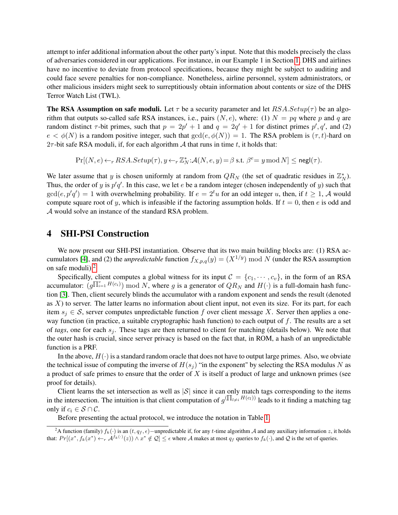attempt to infer additional information about the other party's input. Note that this models precisely the class of adversaries considered in our applications. For instance, in our Example 1 in Section [1,](#page-0-0) DHS and airlines have no incentive to deviate from protocol specifications, because they might be subject to auditing and could face severe penalties for non-compliance. Nonetheless, airline personnel, system administrators, or other malicious insiders might seek to surreptitiously obtain information about contents or size of the DHS Terror Watch List (TWL).

**The RSA Assumption on safe moduli.** Let  $\tau$  be a security parameter and let  $RSA.Setup(\tau)$  be an algorithm that outputs so-called safe RSA instances, i.e., pairs  $(N, e)$ , where: (1)  $N = pq$  where p and q are random distinct  $\tau$ -bit primes, such that  $p = 2p' + 1$  and  $q = 2q' + 1$  for distinct primes  $p', q'$ , and (2)  $e < \phi(N)$  is a random positive integer, such that  $gcd(e, \phi(N)) = 1$ . The RSA problem is  $(\tau, t)$ -hard on  $2\tau$ -bit safe RSA moduli, if, for each algorithm A that runs in time t, it holds that:

 $\Pr[(N, e) \leftarrow_r RSA. Setup(\tau), y \leftarrow_r \mathbb{Z}_N^* : \mathcal{A}(N, e, y) = \beta \text{ s.t. } \beta^e = y \mod N] \leq {\sf negl}(\tau).$ 

We later assume that y is chosen uniformly at random from  $QR_N$  (the set of quadratic residues in  $\mathbb{Z}_N^*$ ). Thus, the order of y is  $p'q'$ . In this case, we let e be a random integer (chosen independently of y) such that  $gcd(e, p'q') = 1$  with overwhelming probability. If  $e = 2<sup>t</sup>u$  for an odd integer u, then, if  $t \ge 1$ , A would compute square root of y, which is infeasible if the factoring assumption holds. If  $t = 0$ , then e is odd and A would solve an instance of the standard RSA problem.

## <span id="page-5-0"></span>4 SHI-PSI Construction

We now present our SHI-PSI instantiation. Observe that its two main building blocks are: (1) RSA ac-cumulators [\[4\]](#page-12-7), and (2) the *unpredictable* function  $f_{X,p,q}(y) = (X^{1/y}) \text{ mod } N$  (under the RSA assumption on safe moduli).[2](#page-5-1)

Specifically, client computes a global witness for its input  $C = \{c_1, \dots, c_v\}$ , in the form of an RSA accumulator:  $(g\prod_{i=1}^v H(c_i))$  mod N, where g is a generator of  $QR_N$  and  $H(\cdot)$  is a full-domain hash function [\[3\]](#page-12-8). Then, client securely blinds the accumulator with a random exponent and sends the result (denoted as  $X$ ) to server. The latter learns no information about client input, not even its size. For its part, for each item  $s_i \in S$ , server computes unpredictable function f over client message X. Server then applies a oneway function (in practice, a suitable cryptographic hash function) to each output of  $f$ . The results are a set of *tags*, one for each  $s_i$ . These tags are then returned to client for matching (details below). We note that the outer hash is crucial, since server privacy is based on the fact that, in ROM, a hash of an unpredictable function is a PRF.

In the above,  $H(\cdot)$  is a standard random oracle that does not have to output large primes. Also, we obviate the technical issue of computing the inverse of  $H(s_i)$  "in the exponent" by selecting the RSA modulus N as a product of safe primes to ensure that the order of  $X$  is itself a product of large and unknown primes (see proof for details).

Client learns the set intersection as well as  $|S|$  since it can only match tags corresponding to the items in the intersection. The intuition is that client computation of  $g^{(\prod_{l\neq i}H(c_l))}$  leads to it finding a matching tag only if  $c_i \in S \cap C$ .

Before presenting the actual protocol, we introduce the notation in Table [1.](#page-6-0)

<span id="page-5-1"></span><sup>&</sup>lt;sup>2</sup>A function (family)  $f_k(.)$  is an  $(t, q_f, \epsilon)$ −unpredictable if, for any t-time algorithm A and any auxiliary information z, it holds that:  $Pr[(x^*, f_k(x^*) \leftarrow_r \mathcal{A}^{f_k(\cdot)}(z)) \land x^* \notin \mathcal{Q}] \leq \epsilon$  where A makes at most  $q_f$  queries to  $f_k(\cdot)$ , and Q is the set of queries.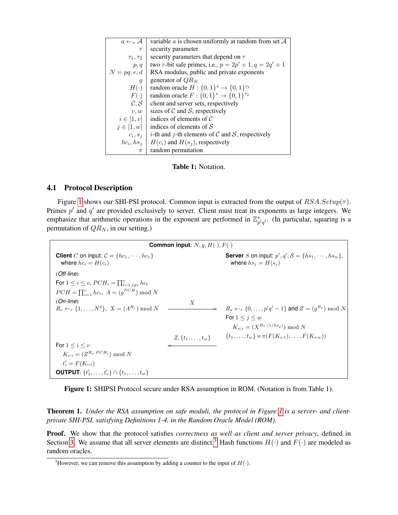<span id="page-6-0"></span>

| $a \leftarrow_r \mathcal{A}$ | variable a is chosen uniformly at random from set $A$            |
|------------------------------|------------------------------------------------------------------|
| $\tau$                       | security parameter                                               |
| $\tau_1, \tau_2$             | security parameters that depend on $\tau$                        |
| p, q                         | two $\tau$ -bit safe primes, i.e., $p = 2p' + 1$ , $q = 2q' + 1$ |
| $N = pq, e, d$               | RSA modulus, public and private exponents                        |
| $\mathfrak{g}$               | generator of $QR_N$                                              |
| $H(\cdot)$                   | random oracle $H: \{0,1\}^* \to \{0,1\}^{\tau_1}$                |
| $F(\cdot)$                   | random oracle $F: \{0,1\}^* \to \{0,1\}^{\tau_2}$                |
| $\mathcal{C}, \mathcal{S}$   | client and server sets, respectively                             |
| v, w                         | sizes of $C$ and $S$ , respectively                              |
| $i\in[1,v]$                  | indices of elements of $\mathcal C$                              |
| $j \in [1, w]$               | indices of elements of $\mathcal S$                              |
| $c_i, s_i$                   | <i>i</i> -th and <i>j</i> -th elements of C and S, respectively  |
| $hc_i, hs_i$                 | $H(c_i)$ and $H(s_i)$ , respectively                             |
| $\pi$                        | random permutation                                               |

Table 1: Notation.

### 4.1 Protocol Description

Figure [1](#page-6-1) shows our SHI-PSI protocol. Common input is extracted from the output of  $RSA.Setup(\tau)$ . Primes  $p'$  and  $q'$  are provided exclusively to server. Client must treat its exponents as large integers. We emphasize that arithmetic operations in the exponent are performed in  $\mathbb{Z}_{p'q'}^*$ . (In particular, squaring is a permutation of  $QR_N$ , in our setting.)

<span id="page-6-1"></span>**Common input**:  $N, g, H(·), F(·)$ **Client** C on input:  $C = \{hc_1, \dots, hc_v\}$ <br>where  $hc_i = H(c_i)$  $\mathcal{O}'$ ,  $q'$ ,  $\mathcal{S} = \{hs_1, \cdots, \textit{hs}_w\},\$ where  $hs_j = H(s_j)$ (*Off-line*) For  $1 \leq i \leq v$ ,  $PCH_i = \prod_{l=1, l \neq i}^{v} hc_l$  $PCH = \prod_{i=1}^{v} hc_i$ ,  $A = (g^{PCH}) \text{ mod } N$ (*On-line*)  $R_c \leftarrow_r \{1, \ldots, N^2\}, X = (A^{R_c}) \bmod N$  $X$  $R_s \leftarrow_r \{0,\ldots,p'q'-1\}$  and  $Z=(g^{R_s}) \bmod N$ For  $1 \leq i \leq w$  $K_{s:j} = (X^{R_s \cdot (1/hs_j)}) \bmod N$  $Z, \{t_1, \ldots, t_w\}$   $\{t_1, \ldots, t_w\} = \pi(F(K_{s:1}), \ldots, F(K_{s:w}))$ For  $1 \leq i \leq v$ o  $K_{c:i} = (Z^{R_c \cdot PCH_i}) \bmod N$  $t'_{i} = F(K_{c:i})$ **OUTPUT**:  $\{t'_1, \ldots, t'_v\} \cap \{t_1, \ldots, t_w\}$ 

Figure 1: SHIPSI Protocol secure under RSA assumption in ROM. (Notation is from Table 1).

Theorem 1. *Under the RSA assumption on safe moduli, the protocol in Figure [1](#page-6-1) is a server- and clientprivate SHI-PSI, satisfying Definitions 1-4, in the Random Oracle Model (ROM).*

Proof. We show that the protocol satisfies *correctness as well as client and server privacy*, defined in Section [3.](#page-4-0) We assume that all server elements are distinct.<sup>[3](#page-6-2)</sup> Hash functions  $H(\cdot)$  and  $F(\cdot)$  are modeled as random oracles.

<span id="page-6-2"></span><sup>&</sup>lt;sup>3</sup>However, we can remove this assumption by adding a counter to the input of  $H(\cdot)$ .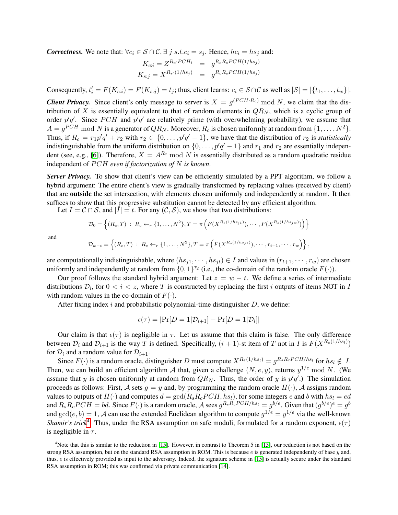*Correctness.* We note that:  $\forall c_i \in S \cap C, \exists j \ s.t. c_i = s_j$ . Hence,  $hc_i = hs_j$  and:

$$
K_{c:i} = Z^{R_c \cdot PCH_i} = g^{R_c R_s PCH(1/hs_j)}
$$
  
\n
$$
K_{s:j} = X^{R_s \cdot (1/hs_j)} = g^{R_c R_s PCH(1/hs_j)}
$$

Consequently,  $t'_i = F(K_{c:i}) = F(K_{s:j}) = t_j$ ; thus, client learns:  $c_i \in S \cap C$  as well as  $|S| = |\{t_1, \ldots, t_w\}|$ .

**Client Privacy.** Since client's only message to server is  $X = g^{(PCH \cdot R_c)} \mod N$ , we claim that the distribution of X is essentially equivalent to that of random elements in  $QR_N$ , which is a cyclic group of order  $p'q'$ . Since PCH and  $p'q'$  are relatively prime (with overwhelming probability), we assume that  $A = g^{PCH} \mod N$  is a generator of  $QR_N$ . Moreover,  $R_c$  is chosen uniformly at random from  $\{1, \ldots, N^2\}$ . Thus, if  $R_c = r_1 p' q' + r_2$  with  $r_2 \in \{0, \ldots, p' q' - 1\}$ , we have that the distribution of  $r_2$  is *statistically* indistinguishable from the uniform distribution on  $\{0, \ldots, p/q'-1\}$  and  $r_1$  and  $r_2$  are essentially indepen-dent (see, e.g., [\[6\]](#page-12-9)). Therefore,  $X = A^{R_c} \text{ mod } N$  is essentially distributed as a random quadratic residue independent of PCH even if factorization of N is known.

*Server Privacy.* To show that client's view can be efficiently simulated by a PPT algorithm, we follow a hybrid argument: The entire client's view is gradually transformed by replacing values (received by client) that are outside the set intersection, with elements chosen uniformly and independently at random. It then suffices to show that this progressive substitution cannot be detected by any efficient algorithm.

Let  $I = C \cap S$ , and  $|\overline{I}| = t$ . For any  $(C, S)$ , we show that two distributions:

$$
\mathcal{D}_0 = \left\{ (R_c, T) : R_c \leftarrow_r \{1, \dots, N^2\}, T = \pi \left( F(X^{R_s(1/hs_{j1})}), \dots, F(X^{R_s(1/hs_{jw})}) \right) \right\}
$$

and

$$
\mathcal{D}_{w-t} = \left\{ (R_c, T) : R_c \leftarrow_r \{1, \ldots, N^2\}, T = \pi \left( F(X^{R_s(1/hs_{j1})}), \cdots, r_{t+1}, \cdots, r_w \right) \right\},
$$

are computationally indistinguishable, where  $(hs_{i1}, \dots, hs_{it}) \in I$  and values in  $(r_{t+1}, \dots, r_w)$  are chosen uniformly and independently at random from  $\{0, 1\}^{\tau_2}$  (i.e., the co-domain of the random oracle  $F(\cdot)$ ).

Our proof follows the standard hybrid argument: Let  $z = w - t$ . We define a series of intermediate distributions  $\mathcal{D}_i$ , for  $0 < i < z$ , where T is constructed by replacing the first i outputs of items NOT in I with random values in the co-domain of  $F(.)$ .

After fixing index i and probabilistic polynomial-time distinguisher  $D$ , we define:

$$
\epsilon(\tau) = |\Pr[D = 1|\mathcal{D}_{i+1}] - \Pr[D = 1|\mathcal{D}_i]|
$$

Our claim is that  $\epsilon(\tau)$  is negligible in  $\tau$ . Let us assume that this claim is false. The only difference between  $\mathcal{D}_i$  and  $\mathcal{D}_{i+1}$  is the way T is defined. Specifically,  $(i + 1)$ -st item of T not in I is  $F(X^{R_s(1/hs_l)})$ for  $\mathcal{D}_i$  and a random value for  $\mathcal{D}_{i+1}$ .

Since  $F(\cdot)$  is a random oracle, distinguisher D must compute  $X^{R_s(1/hs_l)} = g^{R_sR_cPCH/hs_l}$  for  $h s_l \notin I$ . Then, we can build an efficient algorithm A that, given a challenge  $(N, e, y)$ , returns  $y^{1/e} \mod N$ . (We assume that y is chosen uniformly at random from  $QR_N$ . Thus, the order of y is  $p'q'$ .) The simulation proceeds as follows: First, A sets  $g = y$  and, by programming the random oracle  $H(\cdot)$ , A assigns random values to outputs of  $H(\cdot)$  and computes  $d = \gcd(R_s R_c PCH, h s_l)$ , for some integers e and b with  $h s_l = ed$ and  $R_sR_cPCH = bd$ . Since  $F(\cdot)$  is a random oracle, A sees  $g^{R_sR_cPCH/hs_l} = g^{b/e}$ . Given that  $(g^{b/e})^e = g^{b}$ and  $gcd(e, b) = 1$ , A can use the extended Euclidean algorithm to compute  $g^{1/e} = y^{1/e}$  via the well-known *Shamir's trick*<sup>[4](#page-7-0)</sup>. Thus, under the RSA assumption on safe moduli, formulated for a random exponent,  $\epsilon(\tau)$ is negligible in  $\tau$ .

<span id="page-7-0"></span><sup>&</sup>lt;sup>4</sup>Note that this is similar to the reduction in [\[15\]](#page-13-18). However, in contrast to Theorem 5 in [15], our reduction is not based on the strong RSA assumption, but on the standard RSA assumption in ROM. This is because  $e$  is generated independently of base  $y$  and, thus, e is effectively provided as input to the adversary. Indeed, the signature scheme in [\[15\]](#page-13-18) is actually secure under the standard RSA assumption in ROM; this was confirmed via private communication [\[14\]](#page-12-10).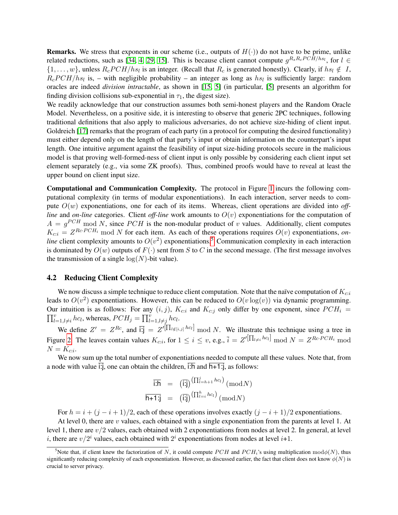**Remarks.** We stress that exponents in our scheme (i.e., outputs of  $H(\cdot)$ ) do not have to be prime, unlike related reductions, such as [\[34,](#page-13-19) [4,](#page-12-7) [29,](#page-13-20) [15\]](#page-13-18). This is because client cannot compute  $g^{R_sR_cPCH/hs_l}$ , for  $l \in$  $\{1,\ldots,w\}$ , unless  $R_cPCH/hs_l$  is an integer. (Recall that  $R_c$  is generated honestly). Clearly, if  $hs_l \notin I$ ,  $R_c PCH/hs_l$  is, – with negligible probability – an integer as long as  $hs_l$  is sufficiently large: random oracles are indeed *division intractable*, as shown in [\[15,](#page-13-18) [5\]](#page-12-11) (in particular, [\[5\]](#page-12-11) presents an algorithm for finding division collisions sub-exponential in  $\tau_1$ , the digest size).

We readily acknowledge that our construction assumes both semi-honest players and the Random Oracle Model. Nevertheless, on a positive side, it is interesting to observe that generic 2PC techniques, following traditional definitions that also apply to malicious adversaries, do not achieve size-hiding of client input. Goldreich [\[17\]](#page-13-9) remarks that the program of each party (in a protocol for computing the desired functionality) must either depend only on the length of that party's input or obtain information on the counterpart's input length. One intuitive argument against the feasibility of input size-hiding protocols secure in the malicious model is that proving well-formed-ness of client input is only possible by considering each client input set element separately (e.g., via some ZK proofs). Thus, combined proofs would have to reveal at least the upper bound on client input size.

Computational and Communication Complexity. The protocol in Figure [1](#page-6-1) incurs the following computational complexity (in terms of modular exponentiations). In each interaction, server needs to compute  $O(w)$  exponentiations, one for each of its items. Whereas, client operations are divided into *offline* and *on-line* categories. Client *off-line* work amounts to  $O(v)$  exponentiations for the computation of  $A = g^{PCH}$  mod N, since PCH is the non-modular product of v values. Additionally, client computes  $K_{c,i} = Z^{Rc \cdot PCH_i}$  mod N for each item. As each of these operations requires  $O(v)$  exponentiations, on*line* client complexity amounts to  $O(v^2)$  exponentiations.<sup>[5](#page-8-0)</sup> Communication complexity in each interaction is dominated by  $O(w)$  outputs of  $F(\cdot)$  sent from S to C in the second message. (The first message involves the transmission of a single  $log(N)$ -bit value).

#### 4.2 Reducing Client Complexity

We now discuss a simple technique to reduce client computation. Note that the naïve computation of  $K_{c:i}$ leads to  $O(v^2)$  exponentiations. However, this can be reduced to  $O(v \log(v))$  via dynamic programming. Our intuition is as follows: For any  $(i, j)$ ,  $K_{c:i}$  and  $K_{c:j}$  only differ by one exponent, since  $PCH_i$  =  $\prod_{l=1, l \neq i}^{v} hc_l$ , whereas,  $PCH_j = \prod_{l=1, l \neq j}^{v} hc_l$ .

We define  $Z' = Z^{Rc}$ , and  $\overline{ij} = Z^{i[\prod_{l \notin [i,j]} h c_l]} \mod N$ . We illustrate this technique using a tree in Figure [2.](#page-9-1) The leaves contain values  $K_{c:i}$ , for  $1 \leq i \leq v$ , e.g.,  $\bar{i} = Z^{i[\prod_{l \neq i} hc_l]} \mod N = Z^{Rc \cdot PCH_i} \mod N$  $N=K_{c:i}.$ 

We now sum up the total number of exponentiations needed to compute all these values. Note that, from a node with value  $\overline{1}$ ; one can obtain the children,  $\overline{1}$ : and  $\overline{h+1}$ ; as follows:

$$
\frac{\overline{\mathsf{lih}}\quad = \quad (\overline{\mathsf{lij}}) \left( \Pi_{l=h+1}^{j} h c_l \right) \, (\bmod N)}{\overline{\mathsf{h+1}} \mathsf{i} \mathsf{j} \quad = \quad (\overline{\mathsf{lij}}) \left( \Pi_{l=i}^{h} h c_l \right) \, (\bmod N)}
$$

For  $h = i + (i - i + 1)/2$ , each of these operations involves exactly  $(i - i + 1)/2$  exponentiations.

At level 0, there are  $v$  values, each obtained with a single exponentiation from the parents at level 1. At level 1, there are  $v/2$  values, each obtained with 2 exponentiations from nodes at level 2. In general, at level *i*, there are  $v/2^i$  values, each obtained with  $2^i$  exponentiations from nodes at level *i*+1.

<span id="page-8-0"></span><sup>&</sup>lt;sup>5</sup>Note that, if client knew the factorization of N, it could compute PCH and PCH<sub>i</sub>'s using multiplication mod $\phi(N)$ , thus significantly reducing complexity of each exponentiation. However, as discussed earlier, the fact that client does not know  $\phi(N)$  is crucial to server privacy.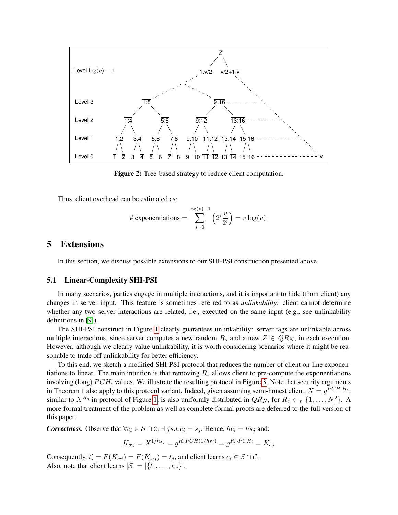<span id="page-9-1"></span>

Figure 2: Tree-based strategy to reduce client computation.

Thus, client overhead can be estimated as:

# exponentiations = 
$$
\sum_{i=0}^{\log(v)-1} \left(2^i \frac{v}{2^i}\right) = v \log(v).
$$

## <span id="page-9-0"></span>5 Extensions

In this section, we discuss possible extensions to our SHI-PSI construction presented above.

### 5.1 Linear-Complexity SHI-PSI

In many scenarios, parties engage in multiple interactions, and it is important to hide (from client) any changes in server input. This feature is sometimes referred to as *unlinkability*: client cannot determine whether any two server interactions are related, i.e., executed on the same input (e.g., see unlinkability definitions in [\[9\]](#page-12-12)).

The SHI-PSI construct in Figure [1](#page-6-1) clearly guarantees unlinkability: server tags are unlinkable across multiple interactions, since server computes a new random  $R_s$  and a new  $Z \in QR_N$ , in each execution. However, although we clearly value unlinkability, it is worth considering scenarios where it might be reasonable to trade off unlinkability for better efficiency.

To this end, we sketch a modified SHI-PSI protocol that reduces the number of client on-line exponentiations to linear. The main intuition is that removing  $R_s$  allows client to pre-compute the exponentiations involving (long)  $PCH_i$  values. We illustrate the resulting protocol in Figure [3.](#page-10-1) Note that security arguments in Theorem 1 also apply to this protocol variant. Indeed, given assuming semi-honest client,  $X = g^{PCH \cdot R_c}$ , similar to  $X^{R_s}$  in protocol of Figure [1,](#page-6-1) is also uniformly distributed in  $QR_N$ , for  $R_c \leftarrow_r \{1, \ldots, N^2\}$ . A more formal treatment of the problem as well as complete formal proofs are deferred to the full version of this paper.

*Correctness.* Observe that  $\forall c_i \in S \cap C, \exists j s.t. c_i = s_j$ . Hence,  $hc_i = hs_j$  and:

$$
K_{s:j} = X^{1/hs_j} = g^{R_c PCH(1/hs_j)} = g^{R_c \cdot PCH_i} = K_{c:i}
$$

Consequently,  $t'_i = F(K_{ci}) = F(K_{s:j}) = t_j$ , and client learns  $c_i \in S \cap C$ . Also, note that client learns  $|S| = |\{t_1, \ldots, t_w\}|$ .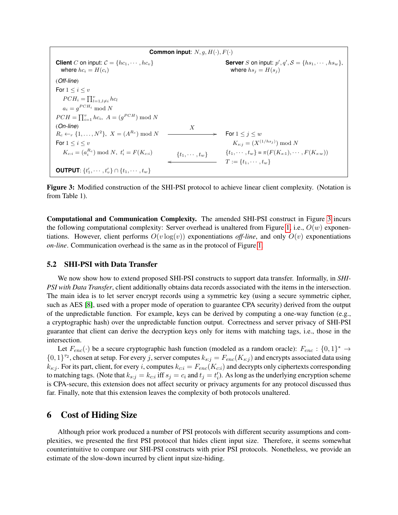<span id="page-10-1"></span>**Common input:**  $N, g, H(·), F(·)$ **Client** C on input:  $C = \{hc_1, \dots, hc_v\}$  $\langle g', g' \rangle = \{hs_1, \cdots, \allowbreak hs_w \},\;$ where  $hc_i = H(c_i)$  where  $hs_j = H(s_j)$ (*Off-line*) For  $1 \leq i \leq v$  $PCH_i = \prod_{l=1, l \neq i}^{v} hc_l$  $a_i = g^{PCH_i} \bmod N$  $PCH = \prod_{i=1}^{v} hc_i$ ,  $A = (g^{PCH}) \text{ mod } N$ (*On-line*)  $R_c \leftarrow_r \{1, \ldots, N^2\}, X = (A^{R_c}) \bmod N$ X  $\overrightarrow{A}$  For  $1 \leq j \leq w$ For  $1 \le i \le v$   $K_{s:j} = (X^{(1/hs_j)}) \mod N$  $K_{c:i} = (a_i^{R_c}) \bmod N, t'_i = F(K_{c:i})$   $\{t_1, \dots, t_w\}$   $\{t_1, \dots, t_w\} = \pi(F(K_{s:1}), \dots, F(K_{s:w}))$  $T := \{t_1, \cdots, t_w\}$ **OUTPUT**:  $\{t'_1, \cdots, t'_v\} \cap \{t_1, \cdots, t_w\}$ 

Figure 3: Modified construction of the SHI-PSI protocol to achieve linear client complexity. (Notation is from Table 1).

Computational and Communication Complexity. The amended SHI-PSI construct in Figure [3](#page-10-1) incurs the following computational complexity: Server overhead is unaltered from Figure [1,](#page-6-1) i.e.,  $O(w)$  exponentiations. However, client performs  $O(v \log(v))$  exponentiations *off-line*, and only  $O(v)$  exponentiations *on-line*. Communication overhead is the same as in the protocol of Figure [1.](#page-6-1)

### 5.2 SHI-PSI with Data Transfer

We now show how to extend proposed SHI-PSI constructs to support data transfer. Informally, in *SHI-PSI with Data Transfer*, client additionally obtains data records associated with the items in the intersection. The main idea is to let server encrypt records using a symmetric key (using a secure symmetric cipher, such as AES [\[8\]](#page-12-13), used with a proper mode of operation to guarantee CPA security) derived from the output of the unpredictable function. For example, keys can be derived by computing a one-way function (e.g., a cryptographic hash) over the unpredictable function output. Correctness and server privacy of SHI-PSI guarantee that client can derive the decryption keys only for items with matching tags, i.e., those in the intersection.

Let  $F_{enc}(\cdot)$  be a secure cryptographic hash function (modeled as a random oracle):  $F_{enc}$ :  $\{0,1\}^* \rightarrow$  $\{0,1\}^{\tau_2}$ , chosen at setup. For every j, server computes  $k_{s:j} = F_{enc}(K_{s:j})$  and encrypts associated data using  $k_{s:j}$ . For its part, client, for every i, computes  $k_{ci} = F_{enc}(K_{ci})$  and decrypts only ciphertexts corresponding to matching tags. (Note that  $k_{s:j} = k_{c:i}$  iff  $s_j = c_i$  and  $t_j = t'_i$ ). As long as the underlying encryption scheme is CPA-secure, this extension does not affect security or privacy arguments for any protocol discussed thus far. Finally, note that this extension leaves the complexity of both protocols unaltered.

### <span id="page-10-0"></span>6 Cost of Hiding Size

Although prior work produced a number of PSI protocols with different security assumptions and complexities, we presented the first PSI protocol that hides client input size. Therefore, it seems somewhat counterintuitive to compare our SHI-PSI constructs with prior PSI protocols. Nonetheless, we provide an estimate of the slow-down incurred by client input size-hiding.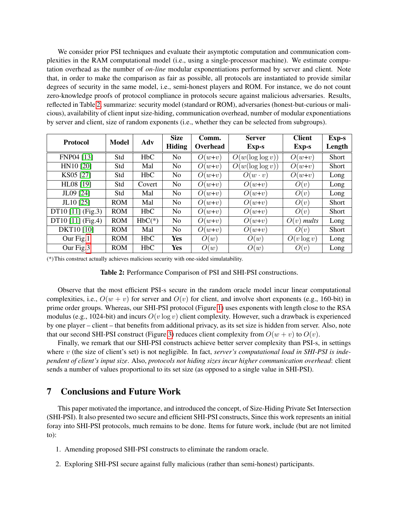We consider prior PSI techniques and evaluate their asymptotic computation and communication complexities in the RAM computational model (i.e., using a single-processor machine). We estimate computation overhead as the number of *on-line* modular exponentiations performed by server and client. Note that, in order to make the comparison as fair as possible, all protocols are instantiated to provide similar degrees of security in the same model, i.e., semi-honest players and ROM. For instance, we do not count zero-knowledge proofs of protocol compliance in protocols secure against malicious adversaries. Results, reflected in Table [2,](#page-11-1) summarize: security model (standard or ROM), adversaries (honest-but-curious or malicious), availability of client input size-hiding, communication overhead, number of modular exponentiations by server and client, size of random exponents (i.e., whether they can be selected from subgroups).

<span id="page-11-1"></span>

| <b>Protocol</b>   | Model      | Adv      | <b>Size</b>    | Comm.    | <b>Server</b>       | <b>Client</b> | <b>Exp-s</b> |
|-------------------|------------|----------|----------------|----------|---------------------|---------------|--------------|
|                   |            |          | <b>Hiding</b>  | Overhead | Exp-s               | <b>Exp-s</b>  | Length       |
| FNP04 [13]        | Std        | HbC      | No             | $O(w+v)$ | $O(w(\log \log v))$ | $O(w+v)$      | Short        |
| HN10 [20]         | Std        | Mal      | No             | $O(w+v)$ | $O(w(\log \log v))$ | $O(w+v)$      | <b>Short</b> |
| KS05 [27]         | Std        | HbC      | N <sub>0</sub> | $O(w+v)$ | $O(w \cdot v)$      | $O(w+v)$      | Long         |
| HL08 [19]         | Std        | Covert   | No             | $O(w+v)$ | $O(w+v)$            | O(v)          | Long         |
| JL09 [24]         | Std        | Mal      | No             | $O(w+v)$ | $O(w+v)$            | O(v)          | Long         |
| JL10 [25]         | <b>ROM</b> | Mal      | No             | $O(w+v)$ | $O(w+v)$            | O(v)          | <b>Short</b> |
| DT10 [11] (Fig.3) | <b>ROM</b> | HbC      | N <sub>0</sub> | $O(w+v)$ | $O(w+v)$            | O(v)          | <b>Short</b> |
| DT10 [11] (Fig.4) | <b>ROM</b> | $HbC(*)$ | No             | $O(w+v)$ | $O(w+v)$            | $O(v)$ mults  | Long         |
| DKT10 [10]        | <b>ROM</b> | Mal      | N <sub>0</sub> | $O(w+v)$ | $O(w+v)$            | O(v)          | <b>Short</b> |
| Our Fig.1         | <b>ROM</b> | HbC      | <b>Yes</b>     | O(w)     | O(w)                | $O(v \log v)$ | Long         |
| Our Fig.3         | <b>ROM</b> | HbC      | Yes            | O(w)     | O(w)                | O(v)          | Long         |

(\*)This construct actually achieves malicious security with one-sided simulatability.

| Table 2: Performance Comparison of PSI and SHI-PSI constructions. |  |  |  |  |
|-------------------------------------------------------------------|--|--|--|--|
|-------------------------------------------------------------------|--|--|--|--|

Observe that the most efficient PSI-s secure in the random oracle model incur linear computational complexities, i.e.,  $O(w + v)$  for server and  $O(v)$  for client, and involve short exponents (e.g., 160-bit) in prime order groups. Whereas, our SHI-PSI protocol (Figure [1\)](#page-6-1) uses exponents with length close to the RSA modulus (e.g., 1024-bit) and incurs  $O(v \log v)$  client complexity. However, such a drawback is experienced by one player – client – that benefits from additional privacy, as its set size is hidden from server. Also, note that our second SHI-PSI construct (Figure [3\)](#page-10-1) reduces client complexity from  $O(w + v)$  to  $O(v)$ .

Finally, we remark that our SHI-PSI constructs achieve better server complexity than PSI-s, in settings where v (the size of client's set) is not negligible. In fact, *server's computational load in SHI-PSI is independent of client's input size*. Also, *protocols not hiding sizes incur higher communication overhead*: client sends a number of values proportional to its set size (as opposed to a single value in SHI-PSI).

## <span id="page-11-0"></span>7 Conclusions and Future Work

This paper motivated the importance, and introduced the concept, of Size-Hiding Private Set Intersection (SHI-PSI). It also presented two secure and efficient SHI-PSI constructs, Since this work represents an initial foray into SHI-PSI protocols, much remains to be done. Items for future work, include (but are not limited to):

- 1. Amending proposed SHI-PSI constructs to eliminate the random oracle.
- 2. Exploring SHI-PSI secure against fully malicious (rather than semi-honest) participants.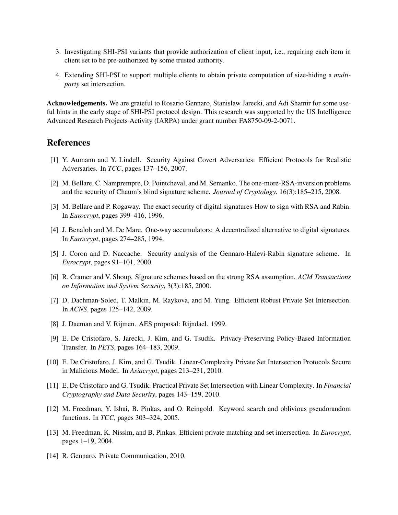- 3. Investigating SHI-PSI variants that provide authorization of client input, i.e., requiring each item in client set to be pre-authorized by some trusted authority.
- 4. Extending SHI-PSI to support multiple clients to obtain private computation of size-hiding a *multiparty* set intersection.

Acknowledgements. We are grateful to Rosario Gennaro, Stanislaw Jarecki, and Adi Shamir for some useful hints in the early stage of SHI-PSI protocol design. This research was supported by the US Intelligence Advanced Research Projects Activity (IARPA) under grant number FA8750-09-2-0071.

## References

- <span id="page-12-3"></span>[1] Y. Aumann and Y. Lindell. Security Against Covert Adversaries: Efficient Protocols for Realistic Adversaries. In *TCC*, pages 137–156, 2007.
- <span id="page-12-5"></span>[2] M. Bellare, C. Namprempre, D. Pointcheval, and M. Semanko. The one-more-RSA-inversion problems and the security of Chaum's blind signature scheme. *Journal of Cryptology*, 16(3):185–215, 2008.
- <span id="page-12-8"></span>[3] M. Bellare and P. Rogaway. The exact security of digital signatures-How to sign with RSA and Rabin. In *Eurocrypt*, pages 399–416, 1996.
- <span id="page-12-7"></span>[4] J. Benaloh and M. De Mare. One-way accumulators: A decentralized alternative to digital signatures. In *Eurocrypt*, pages 274–285, 1994.
- <span id="page-12-11"></span>[5] J. Coron and D. Naccache. Security analysis of the Gennaro-Halevi-Rabin signature scheme. In *Eurocrypt*, pages 91–101, 2000.
- <span id="page-12-9"></span>[6] R. Cramer and V. Shoup. Signature schemes based on the strong RSA assumption. *ACM Transactions on Information and System Security*, 3(3):185, 2000.
- <span id="page-12-1"></span>[7] D. Dachman-Soled, T. Malkin, M. Raykova, and M. Yung. Efficient Robust Private Set Intersection. In *ACNS*, pages 125–142, 2009.
- <span id="page-12-13"></span>[8] J. Daeman and V. Rijmen. AES proposal: Rijndael. 1999.
- <span id="page-12-12"></span>[9] E. De Cristofaro, S. Jarecki, J. Kim, and G. Tsudik. Privacy-Preserving Policy-Based Information Transfer. In *PETS*, pages 164–183, 2009.
- <span id="page-12-6"></span>[10] E. De Cristofaro, J. Kim, and G. Tsudik. Linear-Complexity Private Set Intersection Protocols Secure in Malicious Model. In *Asiacrypt*, pages 213–231, 2010.
- <span id="page-12-4"></span>[11] E. De Cristofaro and G. Tsudik. Practical Private Set Intersection with Linear Complexity. In *Financial Cryptography and Data Security*, pages 143–159, 2010.
- <span id="page-12-2"></span>[12] M. Freedman, Y. Ishai, B. Pinkas, and O. Reingold. Keyword search and oblivious pseudorandom functions. In *TCC*, pages 303–324, 2005.
- <span id="page-12-0"></span>[13] M. Freedman, K. Nissim, and B. Pinkas. Efficient private matching and set intersection. In *Eurocrypt*, pages 1–19, 2004.
- <span id="page-12-10"></span>[14] R. Gennaro. Private Communication, 2010.